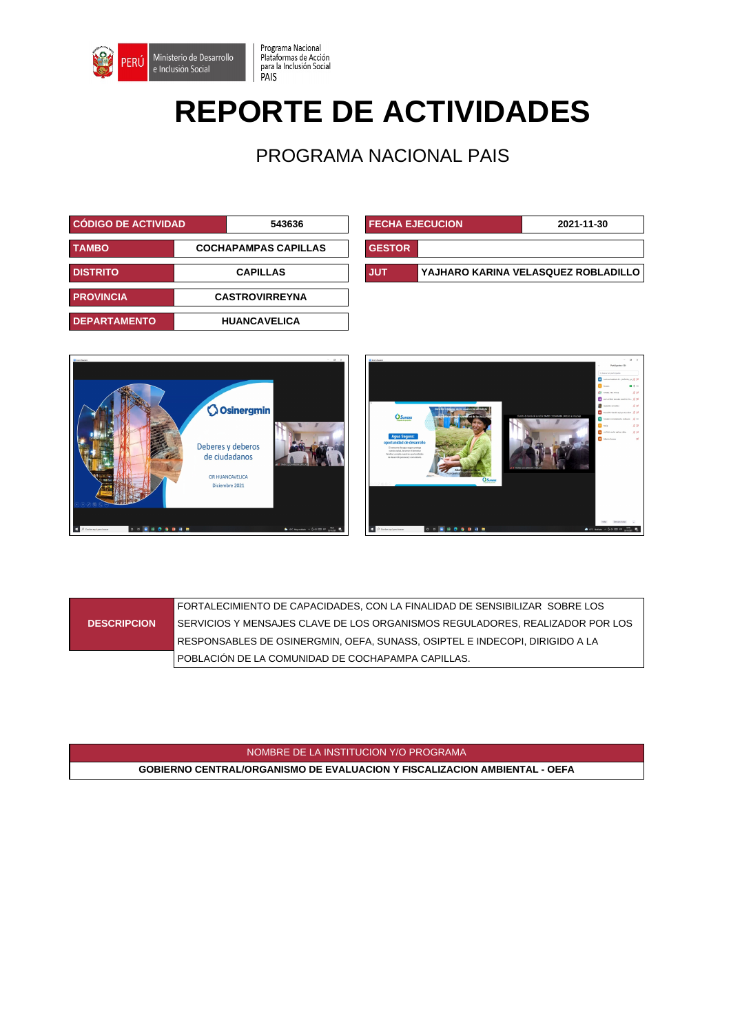

## **REPORTE DE ACTIVIDADES**

Programa Nacional

Plataformas de Acción<br>para la Inclusión Social<br>PAIS

PROGRAMA NACIONAL PAIS

| <b>CODIGO DE ACTIVIDAD</b>                  |                 | 543636                | <b>FECHA EJECUCION</b> |  | 2021-11-30                     |
|---------------------------------------------|-----------------|-----------------------|------------------------|--|--------------------------------|
| <b>COCHAPAMPAS CAPILLAS</b><br><b>TAMBO</b> |                 | <b>GESTOR</b>         |                        |  |                                |
| <b>DISTRITO</b>                             | <b>CAPILLAS</b> |                       | <b>JUT</b>             |  | YAJHARO KARINA VELASQUEZ ROBLA |
| <b>PROVINCIA</b>                            |                 | <b>CASTROVIRREYNA</b> |                        |  |                                |
| <b>DEPARTAMENTO</b>                         |                 | <b>HUANCAVELICA</b>   |                        |  |                                |

| <b>CÓDIGO DE ACTIVIDAD</b><br>543636 |  |                             | <b>FECHA EJECUCION</b><br>2021-11-30 |                                     |  |
|--------------------------------------|--|-----------------------------|--------------------------------------|-------------------------------------|--|
| <b>TAMBO</b>                         |  | <b>COCHAPAMPAS CAPILLAS</b> | <b>GESTOR</b>                        |                                     |  |
| <b>DISTRITO</b><br><b>CAPILLAS</b>   |  | <b>JUT</b>                  |                                      | YAJHARO KARINA VELASQUEZ ROBLADILLO |  |



|                    | FORTALECIMIENTO DE CAPACIDADES, CON LA FINALIDAD DE SENSIBILIZAR SOBRE LOS     |
|--------------------|--------------------------------------------------------------------------------|
| <b>DESCRIPCION</b> | l SERVICIOS Y MENSAJES CLAVE DE LOS ORGANISMOS REGULADORES. REALIZADOR POR LOS |
|                    | RESPONSABLES DE OSINERGMIN, OEFA, SUNASS, OSIPTEL E INDECOPI, DIRIGIDO A LA    |
|                    | POBLACIÓN DE LA COMUNIDAD DE COCHAPAMPA CAPILLAS.                              |

NOMBRE DE LA INSTITUCION Y/O PROGRAMA

**GOBIERNO CENTRAL/ORGANISMO DE EVALUACION Y FISCALIZACION AMBIENTAL - OEFA**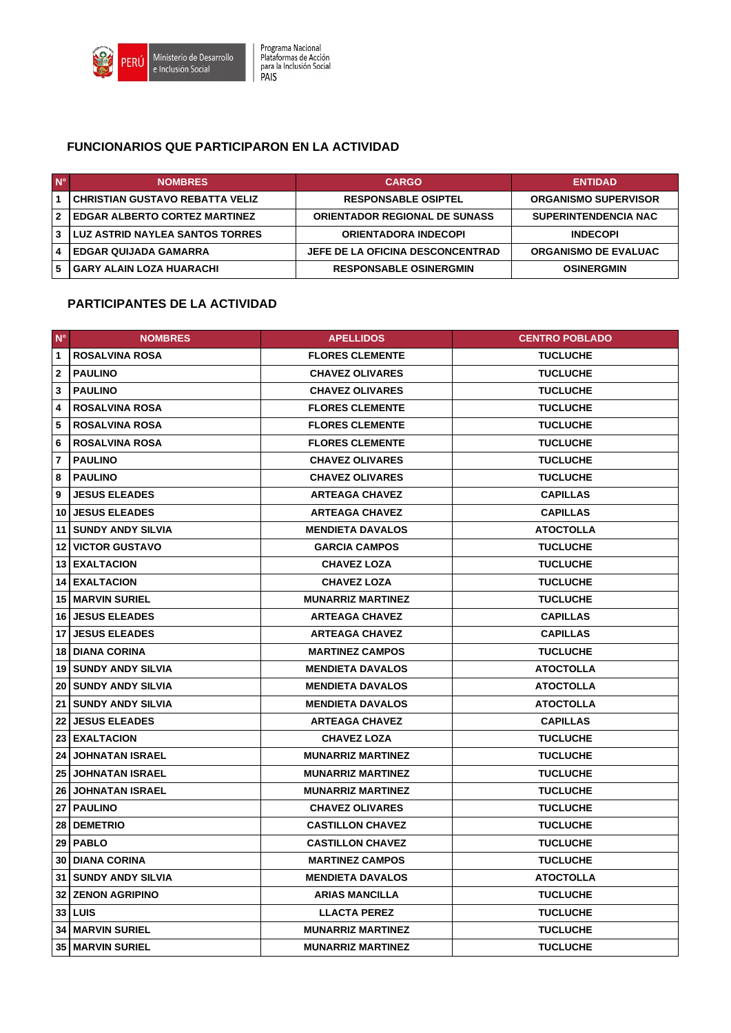

## **FUNCIONARIOS QUE PARTICIPARON EN LA ACTIVIDAD**

| $N^{\circ}$ | <b>NOMBRES</b>                         | <b>CARGO</b>                         | <b>ENTIDAD</b>              |
|-------------|----------------------------------------|--------------------------------------|-----------------------------|
|             | <b>CHRISTIAN GUSTAVO REBATTA VELIZ</b> | <b>RESPONSABLE OSIPTEL</b>           | <b>ORGANISMO SUPERVISOR</b> |
| -2          | <b>EDGAR ALBERTO CORTEZ MARTINEZ</b>   | <b>ORIENTADOR REGIONAL DE SUNASS</b> | <b>SUPERINTENDENCIA NAC</b> |
|             | <b>LUZ ASTRID NAYLEA SANTOS TORRES</b> | <b>ORIENTADORA INDECOPI</b>          | <b>INDECOPI</b>             |
|             | <b>EDGAR QUIJADA GAMARRA</b>           | JEFE DE LA OFICINA DESCONCENTRAD     | <b>ORGANISMO DE EVALUAC</b> |
| 5           | <b>GARY ALAIN LOZA HUARACHI</b>        | <b>RESPONSABLE OSINERGMIN</b>        | <b>OSINERGMIN</b>           |

## **PARTICIPANTES DE LA ACTIVIDAD**

| $N^{\circ}$     | <b>NOMBRES</b>              | <b>APELLIDOS</b>         | <b>CENTRO POBLADO</b> |
|-----------------|-----------------------------|--------------------------|-----------------------|
| $\mathbf{1}$    | <b>ROSALVINA ROSA</b>       | <b>FLORES CLEMENTE</b>   | <b>TUCLUCHE</b>       |
| $\overline{2}$  | <b>PAULINO</b>              | <b>CHAVEZ OLIVARES</b>   | <b>TUCLUCHE</b>       |
| 3               | <b>PAULINO</b>              | <b>CHAVEZ OLIVARES</b>   | <b>TUCLUCHE</b>       |
| 4               | <b>ROSALVINA ROSA</b>       | <b>FLORES CLEMENTE</b>   | <b>TUCLUCHE</b>       |
| 5               | <b>ROSALVINA ROSA</b>       | <b>FLORES CLEMENTE</b>   | <b>TUCLUCHE</b>       |
| 6               | <b>ROSALVINA ROSA</b>       | <b>FLORES CLEMENTE</b>   | <b>TUCLUCHE</b>       |
| $\overline{7}$  | <b>PAULINO</b>              | <b>CHAVEZ OLIVARES</b>   | <b>TUCLUCHE</b>       |
| 8               | <b>PAULINO</b>              | <b>CHAVEZ OLIVARES</b>   | <b>TUCLUCHE</b>       |
| 9               | <b>JESUS ELEADES</b>        | <b>ARTEAGA CHAVEZ</b>    | <b>CAPILLAS</b>       |
|                 | 10 JESUS ELEADES            | <b>ARTEAGA CHAVEZ</b>    | <b>CAPILLAS</b>       |
|                 | 11 SUNDY ANDY SILVIA        | <b>MENDIETA DAVALOS</b>  | <b>ATOCTOLLA</b>      |
|                 | <b>12 VICTOR GUSTAVO</b>    | <b>GARCIA CAMPOS</b>     | <b>TUCLUCHE</b>       |
|                 | 13 EXALTACION               | <b>CHAVEZ LOZA</b>       | <b>TUCLUCHE</b>       |
|                 | 14 EXALTACION               | <b>CHAVEZ LOZA</b>       | <b>TUCLUCHE</b>       |
|                 | <b>15   MARVIN SURIEL</b>   | <b>MUNARRIZ MARTINEZ</b> | <b>TUCLUCHE</b>       |
|                 | <b>16 JESUS ELEADES</b>     | <b>ARTEAGA CHAVEZ</b>    | <b>CAPILLAS</b>       |
|                 | 17 JESUS ELEADES            | <b>ARTEAGA CHAVEZ</b>    | <b>CAPILLAS</b>       |
|                 | <b>18 DIANA CORINA</b>      | <b>MARTINEZ CAMPOS</b>   | <b>TUCLUCHE</b>       |
|                 | <b>19 SUNDY ANDY SILVIA</b> | <b>MENDIETA DAVALOS</b>  | <b>ATOCTOLLA</b>      |
|                 | <b>20 SUNDY ANDY SILVIA</b> | <b>MENDIETA DAVALOS</b>  | <b>ATOCTOLLA</b>      |
|                 | 21   SUNDY ANDY SILVIA      | <b>MENDIETA DAVALOS</b>  | <b>ATOCTOLLA</b>      |
|                 | <b>22 JESUS ELEADES</b>     | <b>ARTEAGA CHAVEZ</b>    | <b>CAPILLAS</b>       |
|                 | 23 EXALTACION               | <b>CHAVEZ LOZA</b>       | <b>TUCLUCHE</b>       |
|                 | <b>24 JOHNATAN ISRAEL</b>   | <b>MUNARRIZ MARTINEZ</b> | <b>TUCLUCHE</b>       |
|                 | <b>25 JOHNATAN ISRAEL</b>   | <b>MUNARRIZ MARTINEZ</b> | <b>TUCLUCHE</b>       |
|                 | <b>26 JOHNATAN ISRAEL</b>   | <b>MUNARRIZ MARTINEZ</b> | <b>TUCLUCHE</b>       |
|                 | 27 PAULINO                  | <b>CHAVEZ OLIVARES</b>   | <b>TUCLUCHE</b>       |
|                 | 28   DEMETRIO               | <b>CASTILLON CHAVEZ</b>  | <b>TUCLUCHE</b>       |
| 29              | <b>PABLO</b>                | <b>CASTILLON CHAVEZ</b>  | <b>TUCLUCHE</b>       |
|                 | <b>30 DIANA CORINA</b>      | <b>MARTINEZ CAMPOS</b>   | <b>TUCLUCHE</b>       |
| 31 <sup>1</sup> | <b>SUNDY ANDY SILVIA</b>    | <b>MENDIETA DAVALOS</b>  | <b>ATOCTOLLA</b>      |
|                 | <b>32 ZENON AGRIPINO</b>    | <b>ARIAS MANCILLA</b>    | <b>TUCLUCHE</b>       |
|                 | $33$ LUIS                   | <b>LLACTA PEREZ</b>      | <b>TUCLUCHE</b>       |
|                 | <b>34   MARVIN SURIEL</b>   | <b>MUNARRIZ MARTINEZ</b> | <b>TUCLUCHE</b>       |
|                 | <b>35   MARVIN SURIEL</b>   | <b>MUNARRIZ MARTINEZ</b> | <b>TUCLUCHE</b>       |